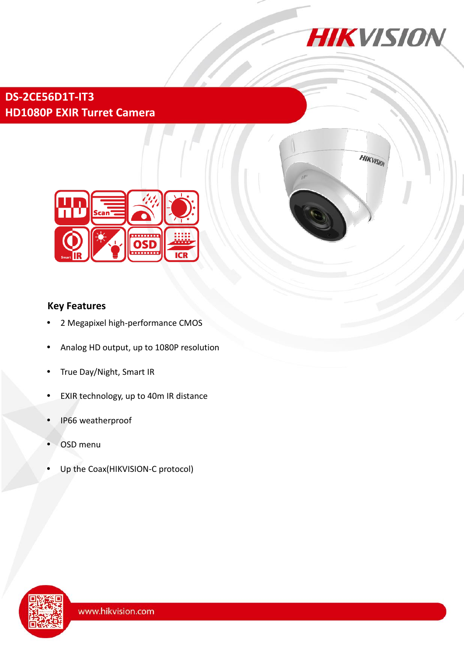

## **DS-2CE56D1T-IT3 HD1080P EXIR Turret Camera**





## **Key Features**

- 2 Megapixel high-performance CMOS
- Analog HD output, up to 1080P resolution
- True Day/Night, Smart IR
- EXIR technology, up to 40m IR distance
- IP66 weatherproof
- OSD menu
- Up the Coax(HIKVISION-C protocol)

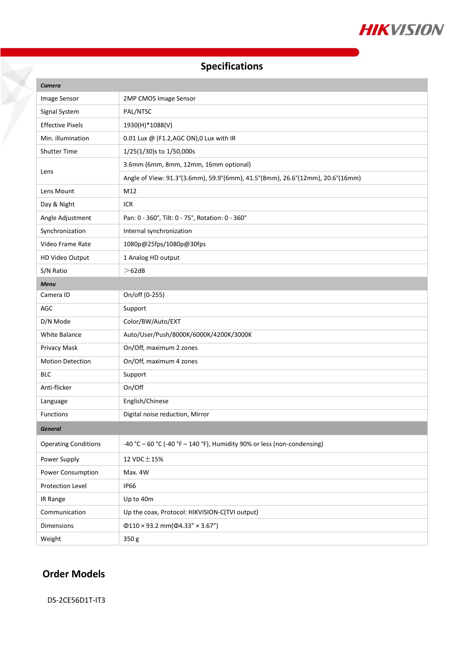

# **Specifications**

| Camera                      |                                                                               |
|-----------------------------|-------------------------------------------------------------------------------|
| Image Sensor                | 2MP CMOS Image Sensor                                                         |
| Signal System               | PAL/NTSC                                                                      |
| <b>Effective Pixels</b>     | 1930(H)*1088(V)                                                               |
| Min. illumination           | 0.01 Lux @ (F1.2, AGC ON), 0 Lux with IR                                      |
| <b>Shutter Time</b>         | 1/25(1/30)s to 1/50,000s                                                      |
| Lens                        | 3.6mm (6mm, 8mm, 12mm, 16mm optional)                                         |
|                             | Angle of View: 91.3°(3.6mm), 59.9°(6mm), 41.5°(8mm), 26.6°(12mm), 20.6°(16mm) |
| Lens Mount                  | M12                                                                           |
| Day & Night                 | ICR                                                                           |
| Angle Adjustment            | Pan: 0 - 360°, Tilt: 0 - 75°, Rotation: 0 - 360°                              |
| Synchronization             | Internal synchronization                                                      |
| Video Frame Rate            | 1080p@25fps/1080p@30fps                                                       |
| HD Video Output             | 1 Analog HD output                                                            |
| S/N Ratio                   | >62dB                                                                         |
| <b>Menu</b>                 |                                                                               |
| Camera ID                   | On/off (0-255)                                                                |
| AGC                         | Support                                                                       |
| D/N Mode                    | Color/BW/Auto/EXT                                                             |
| White Balance               | Auto/User/Push/8000K/6000K/4200K/3000K                                        |
| Privacy Mask                | On/Off, maximum 2 zones                                                       |
| <b>Motion Detection</b>     | On/Off, maximum 4 zones                                                       |
| <b>BLC</b>                  | Support                                                                       |
| Anti-flicker                | On/Off                                                                        |
| Language                    | English/Chinese                                                               |
| Functions                   | Digital noise reduction, Mirror                                               |
| <b>General</b>              |                                                                               |
| <b>Operating Conditions</b> | -40 °C - 60 °C (-40 °F - 140 °F), Humidity 90% or less (non-condensing)       |
| Power Supply                | 12 VDC $\pm$ 15%                                                              |
| Power Consumption           | Max. 4W                                                                       |
| Protection Level            | <b>IP66</b>                                                                   |
| IR Range                    | Up to 40m                                                                     |
| Communication               | Up the coax, Protocol: HIKVISION-C(TVI output)                                |
| Dimensions                  | $\Phi$ 110 × 93.2 mm( $\Phi$ 4.33" × 3.67")                                   |
| Weight                      | 350g                                                                          |

## **Order Models**

Y

DS-2CE56D1T-IT3